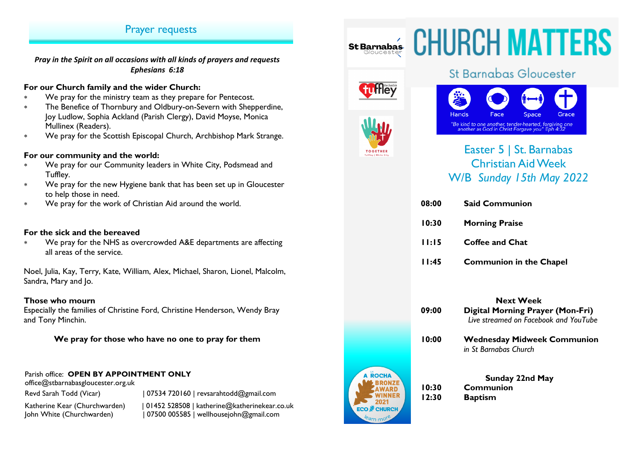# Prayer requests

*Pray in the Spirit on all occasions with all kinds of prayers and requests Ephesians 6:18*

## **For our Church family and the wider Church:**

- We pray for the ministry team as they prepare for Pentecost.
- The Benefice of Thornbury and Oldbury-on-Severn with Shepperdine, Joy Ludlow, Sophia Ackland (Parish Clergy), David Moyse, Monica Mullinex (Readers).
- We pray for the Scottish Episcopal Church, Archbishop Mark Strange.

## **For our community and the world:**

- We pray for our Community leaders in White City, Podsmead and Tuffley.
- We pray for the new Hygiene bank that has been set up in Gloucester to help those in need.
- We pray for the work of Christian Aid around the world.

## **For the sick and the bereaved**

 We pray for the NHS as overcrowded A&E departments are affecting all areas of the service.

Noel, Julia, Kay, Terry, Kate, William, Alex, Michael, Sharon, Lionel, Malcolm, Sandra, Mary and Jo.

### **Those who mourn**

Especially the families of Christine Ford, Christine Henderson, Wendy Bray and Tony Minchin.

## **We pray for those who have no one to pray for them**

## Parish office: **OPEN BY APPOINTMENT ONLY**

office@stbarnabasgloucester.org.uk

Revd Sarah Todd (Vicar) | 07534 720160 | revsarahtodd@gmail.com Katherine Kear (Churchwarden) | 01452 528508 | katherine@katherinekear.co.uk John White (Churchwarden) | 07500 005585 | wellhousejohn@gmail.com

# St Barnabas CHURCH MATTERS



# St Barnabas Gloucester



# Easter 5 | St. Barnabas Christian Aid Week W/B *Sunday 15th May 2022*

| 08:00 | <b>Said Communion</b>          |
|-------|--------------------------------|
| 10:30 | <b>Morning Praise</b>          |
| 11:15 | Coffee and Chat                |
| 11:45 | <b>Communion in the Chapel</b> |



# **Next Week 09:00 Digital Morning Prayer (Mon-Fri)**  *Live streamed on Facebook and YouTube* **10:00 Wednesday Midweek Communion**  *in St Barnabas Church* **Sunday 22nd May**

**10:30 Communion 12:30 Baptism**